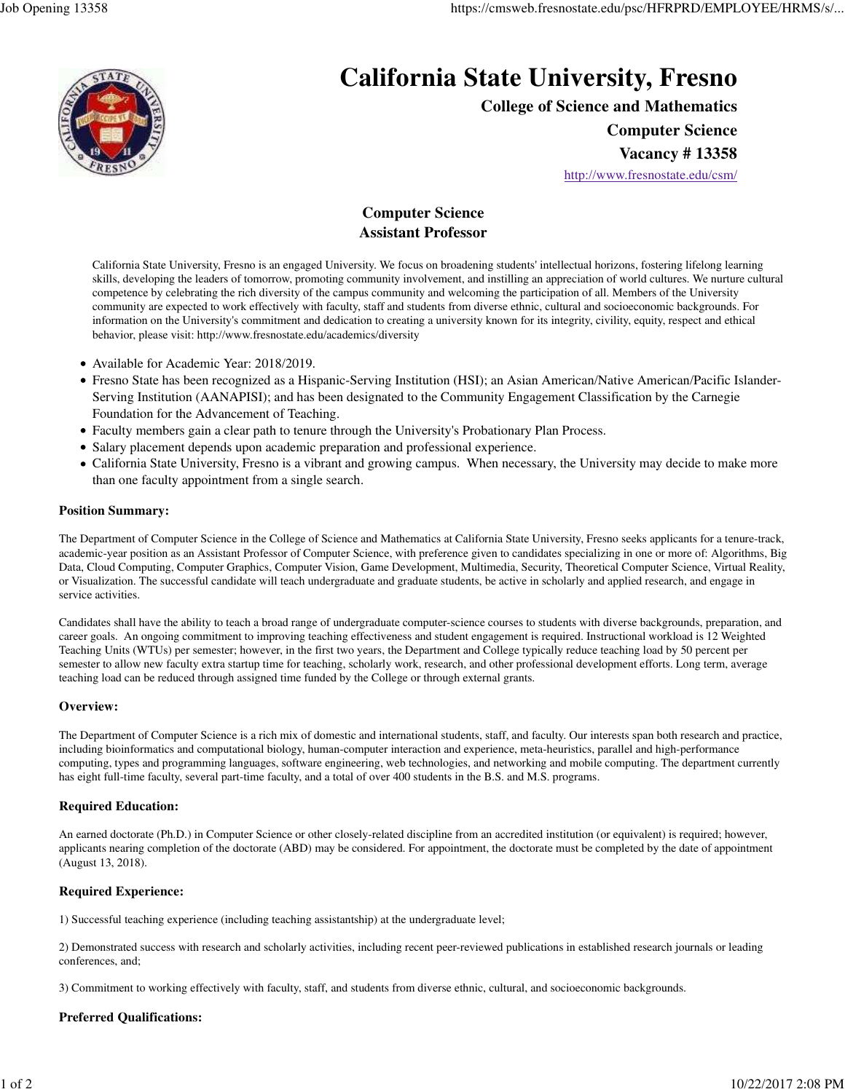

# **California State University, Fresno**

**College of Science and Mathematics**

**Computer Science**

**Vacancy # 13358**

http://www.fresnostate.edu/csm/

## **Computer Science Assistant Professor**

California State University, Fresno is an engaged University. We focus on broadening students' intellectual horizons, fostering lifelong learning skills, developing the leaders of tomorrow, promoting community involvement, and instilling an appreciation of world cultures. We nurture cultural competence by celebrating the rich diversity of the campus community and welcoming the participation of all. Members of the University community are expected to work effectively with faculty, staff and students from diverse ethnic, cultural and socioeconomic backgrounds. For information on the University's commitment and dedication to creating a university known for its integrity, civility, equity, respect and ethical behavior, please visit: http://www.fresnostate.edu/academics/diversity

- Available for Academic Year: 2018/2019.
- Fresno State has been recognized as a Hispanic-Serving Institution (HSI); an Asian American/Native American/Pacific Islander-Serving Institution (AANAPISI); and has been designated to the Community Engagement Classification by the Carnegie Foundation for the Advancement of Teaching.
- Faculty members gain a clear path to tenure through the University's Probationary Plan Process.
- Salary placement depends upon academic preparation and professional experience.
- California State University, Fresno is a vibrant and growing campus. When necessary, the University may decide to make more than one faculty appointment from a single search.

#### **Position Summary:**

The Department of Computer Science in the College of Science and Mathematics at California State University, Fresno seeks applicants for a tenure-track, academic-year position as an Assistant Professor of Computer Science, with preference given to candidates specializing in one or more of: Algorithms, Big Data, Cloud Computing, Computer Graphics, Computer Vision, Game Development, Multimedia, Security, Theoretical Computer Science, Virtual Reality, or Visualization. The successful candidate will teach undergraduate and graduate students, be active in scholarly and applied research, and engage in service activities.

Candidates shall have the ability to teach a broad range of undergraduate computer-science courses to students with diverse backgrounds, preparation, and career goals. An ongoing commitment to improving teaching effectiveness and student engagement is required. Instructional workload is 12 Weighted Teaching Units (WTUs) per semester; however, in the first two years, the Department and College typically reduce teaching load by 50 percent per semester to allow new faculty extra startup time for teaching, scholarly work, research, and other professional development efforts. Long term, average teaching load can be reduced through assigned time funded by the College or through external grants.

#### **Overview:**

The Department of Computer Science is a rich mix of domestic and international students, staff, and faculty. Our interests span both research and practice, including bioinformatics and computational biology, human-computer interaction and experience, meta-heuristics, parallel and high-performance computing, types and programming languages, software engineering, web technologies, and networking and mobile computing. The department currently has eight full-time faculty, several part-time faculty, and a total of over 400 students in the B.S. and M.S. programs.

#### **Required Education:**

An earned doctorate (Ph.D.) in Computer Science or other closely-related discipline from an accredited institution (or equivalent) is required; however, applicants nearing completion of the doctorate (ABD) may be considered. For appointment, the doctorate must be completed by the date of appointment (August 13, 2018).

#### **Required Experience:**

1) Successful teaching experience (including teaching assistantship) at the undergraduate level;

2) Demonstrated success with research and scholarly activities, including recent peer-reviewed publications in established research journals or leading conferences, and;

3) Commitment to working effectively with faculty, staff, and students from diverse ethnic, cultural, and socioeconomic backgrounds.

### **Preferred Qualifications:**